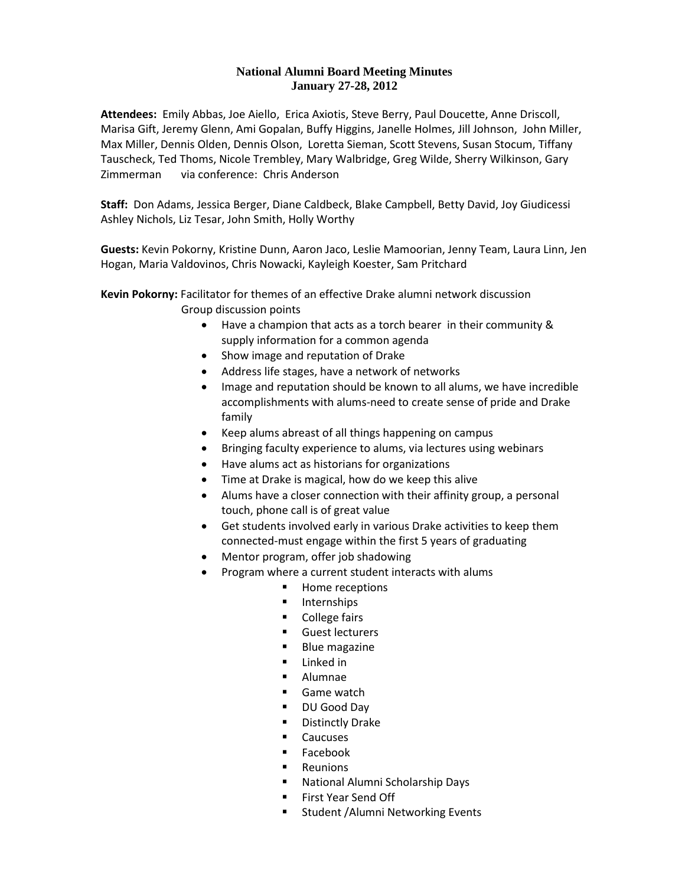#### **National Alumni Board Meeting Minutes January 27-28, 2012**

**Attendees:** Emily Abbas, Joe Aiello, Erica Axiotis, Steve Berry, Paul Doucette, Anne Driscoll, Marisa Gift, Jeremy Glenn, Ami Gopalan, Buffy Higgins, Janelle Holmes, Jill Johnson, John Miller, Max Miller, Dennis Olden, Dennis Olson, Loretta Sieman, Scott Stevens, Susan Stocum, Tiffany Tauscheck, Ted Thoms, Nicole Trembley, Mary Walbridge, Greg Wilde, Sherry Wilkinson, Gary Zimmerman via conference: Chris Anderson

**Staff:** Don Adams, Jessica Berger, Diane Caldbeck, Blake Campbell, Betty David, Joy Giudicessi Ashley Nichols, Liz Tesar, John Smith, Holly Worthy

**Guests:** Kevin Pokorny, Kristine Dunn, Aaron Jaco, Leslie Mamoorian, Jenny Team, Laura Linn, Jen Hogan, Maria Valdovinos, Chris Nowacki, Kayleigh Koester, Sam Pritchard

**Kevin Pokorny:** Facilitator for themes of an effective Drake alumni network discussion Group discussion points

- Have a champion that acts as a torch bearer in their community & supply information for a common agenda
- Show image and reputation of Drake
- Address life stages, have a network of networks
- Image and reputation should be known to all alums, we have incredible accomplishments with alums-need to create sense of pride and Drake family
- Keep alums abreast of all things happening on campus
- Bringing faculty experience to alums, via lectures using webinars
- Have alums act as historians for organizations
- Time at Drake is magical, how do we keep this alive
- Alums have a closer connection with their affinity group, a personal touch, phone call is of great value
- Get students involved early in various Drake activities to keep them connected-must engage within the first 5 years of graduating
- Mentor program, offer job shadowing
- Program where a current student interacts with alums
	- **Home receptions**
	- **Internships**
	- **College fairs**
	- **Guest lecturers**
	- **Blue magazine**
	- **Linked in**
	- **Alumnae**
	- Game watch
	- DU Good Day
	- **Distinctly Drake**
	- **Caucuses**
	- Facebook
	- **Reunions**
	- National Alumni Scholarship Days
	- First Year Send Off
	- **EXECT:** Student /Alumni Networking Events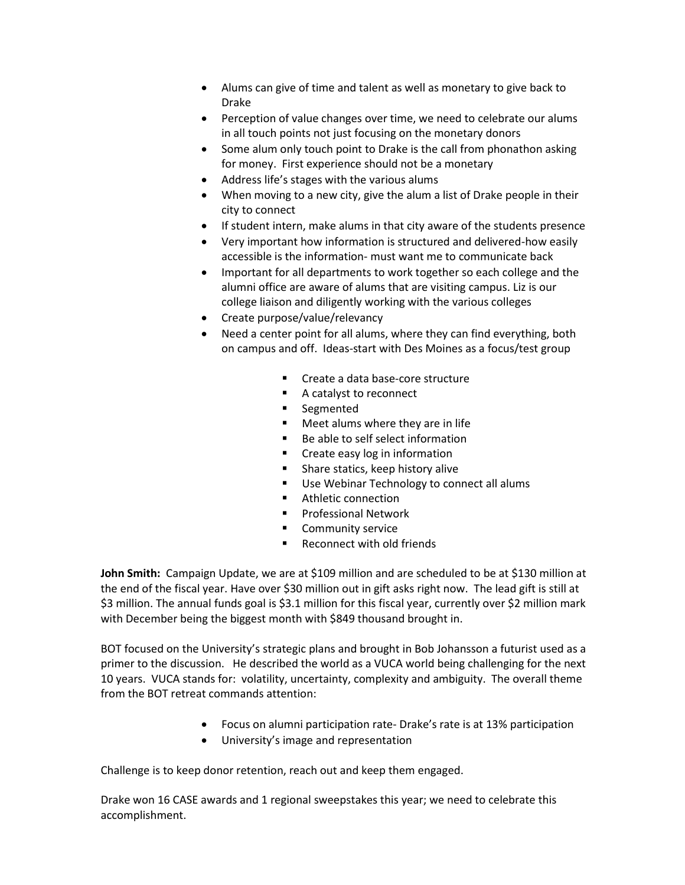- Alums can give of time and talent as well as monetary to give back to Drake
- Perception of value changes over time, we need to celebrate our alums in all touch points not just focusing on the monetary donors
- Some alum only touch point to Drake is the call from phonathon asking for money. First experience should not be a monetary
- Address life's stages with the various alums
- When moving to a new city, give the alum a list of Drake people in their city to connect
- If student intern, make alums in that city aware of the students presence
- Very important how information is structured and delivered-how easily accessible is the information- must want me to communicate back
- Important for all departments to work together so each college and the alumni office are aware of alums that are visiting campus. Liz is our college liaison and diligently working with the various colleges
- Create purpose/value/relevancy
- Need a center point for all alums, where they can find everything, both on campus and off. Ideas-start with Des Moines as a focus/test group
	- **Create a data base-core structure**
	- A catalyst to reconnect
	- **Segmented**
	- **Meet alums where they are in life**
	- Be able to self select information
	- **Create easy log in information**
	- **Share statics, keep history alive**
	- **Use Webinar Technology to connect all alums**
	- **Athletic connection**
	- Professional Network
	- **Community service**
	- Reconnect with old friends

**John Smith:** Campaign Update, we are at \$109 million and are scheduled to be at \$130 million at the end of the fiscal year. Have over \$30 million out in gift asks right now. The lead gift is still at \$3 million. The annual funds goal is \$3.1 million for this fiscal year, currently over \$2 million mark with December being the biggest month with \$849 thousand brought in.

BOT focused on the University's strategic plans and brought in Bob Johansson a futurist used as a primer to the discussion. He described the world as a VUCA world being challenging for the next 10 years. VUCA stands for: volatility, uncertainty, complexity and ambiguity. The overall theme from the BOT retreat commands attention:

- Focus on alumni participation rate- Drake's rate is at 13% participation
- University's image and representation

Challenge is to keep donor retention, reach out and keep them engaged.

Drake won 16 CASE awards and 1 regional sweepstakes this year; we need to celebrate this accomplishment.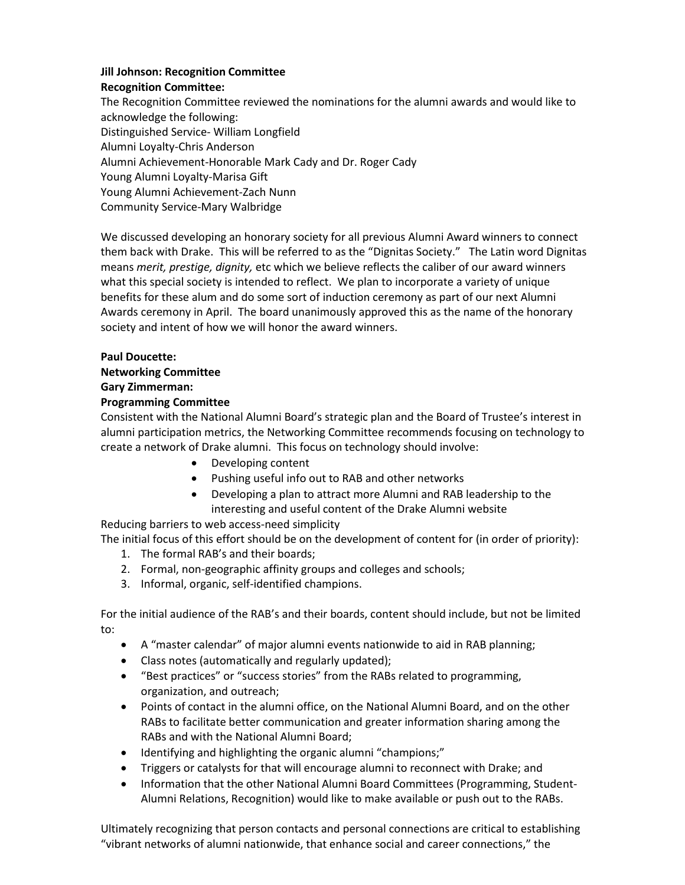# **Jill Johnson: Recognition Committee**

**Recognition Committee:**

The Recognition Committee reviewed the nominations for the alumni awards and would like to acknowledge the following: Distinguished Service- William Longfield

Alumni Loyalty-Chris Anderson

Alumni Achievement-Honorable Mark Cady and Dr. Roger Cady

Young Alumni Loyalty-Marisa Gift

Young Alumni Achievement-Zach Nunn

Community Service-Mary Walbridge

We discussed developing an honorary society for all previous Alumni Award winners to connect them back with Drake. This will be referred to as the "Dignitas Society." The Latin word Dignitas means *merit, prestige, dignity,* etc which we believe reflects the caliber of our award winners what this special society is intended to reflect. We plan to incorporate a variety of unique benefits for these alum and do some sort of induction ceremony as part of our next Alumni Awards ceremony in April. The board unanimously approved this as the name of the honorary society and intent of how we will honor the award winners.

# **Paul Doucette:**

## **Networking Committee**

## **Gary Zimmerman:**

# **Programming Committee**

Consistent with the National Alumni Board's strategic plan and the Board of Trustee's interest in alumni participation metrics, the Networking Committee recommends focusing on technology to create a network of Drake alumni. This focus on technology should involve:

- Developing content
- Pushing useful info out to RAB and other networks
- Developing a plan to attract more Alumni and RAB leadership to the interesting and useful content of the Drake Alumni website

Reducing barriers to web access-need simplicity

The initial focus of this effort should be on the development of content for (in order of priority):

- 1. The formal RAB's and their boards;
- 2. Formal, non-geographic affinity groups and colleges and schools;
- 3. Informal, organic, self-identified champions.

For the initial audience of the RAB's and their boards, content should include, but not be limited to:

- A "master calendar" of major alumni events nationwide to aid in RAB planning;
- Class notes (automatically and regularly updated);
- "Best practices" or "success stories" from the RABs related to programming, organization, and outreach;
- Points of contact in the alumni office, on the National Alumni Board, and on the other RABs to facilitate better communication and greater information sharing among the RABs and with the National Alumni Board;
- Identifying and highlighting the organic alumni "champions;"
- Triggers or catalysts for that will encourage alumni to reconnect with Drake; and
- Information that the other National Alumni Board Committees (Programming, Student-Alumni Relations, Recognition) would like to make available or push out to the RABs.

Ultimately recognizing that person contacts and personal connections are critical to establishing "vibrant networks of alumni nationwide, that enhance social and career connections," the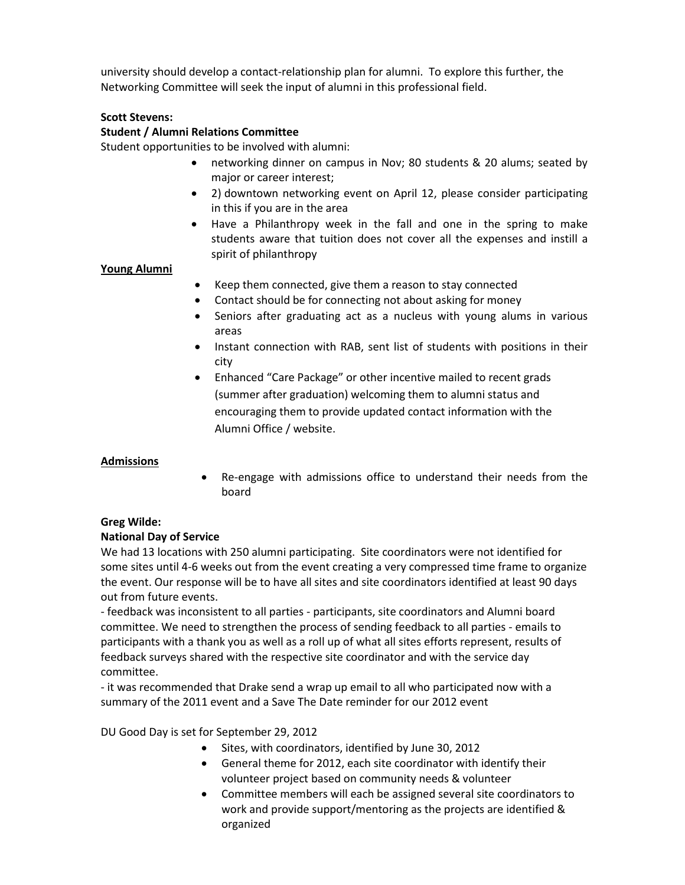university should develop a contact-relationship plan for alumni. To explore this further, the Networking Committee will seek the input of alumni in this professional field.

## **Scott Stevens:**

## **Student / Alumni Relations Committee**

Student opportunities to be involved with alumni:

- networking dinner on campus in Nov; 80 students & 20 alums; seated by major or career interest;
- 2) downtown networking event on April 12, please consider participating in this if you are in the area
- Have a Philanthropy week in the fall and one in the spring to make students aware that tuition does not cover all the expenses and instill a spirit of philanthropy

## **Young Alumni**

- Keep them connected, give them a reason to stay connected
- Contact should be for connecting not about asking for money
- Seniors after graduating act as a nucleus with young alums in various areas
- Instant connection with RAB, sent list of students with positions in their city
- Enhanced "Care Package" or other incentive mailed to recent grads (summer after graduation) welcoming them to alumni status and encouraging them to provide updated contact information with the Alumni Office / website.

## **Admissions**

 Re-engage with admissions office to understand their needs from the board

## **Greg Wilde:**

## **National Day of Service**

We had 13 locations with 250 alumni participating. Site coordinators were not identified for some sites until 4-6 weeks out from the event creating a very compressed time frame to organize the event. Our response will be to have all sites and site coordinators identified at least 90 days out from future events.

- feedback was inconsistent to all parties - participants, site coordinators and Alumni board committee. We need to strengthen the process of sending feedback to all parties - emails to participants with a thank you as well as a roll up of what all sites efforts represent, results of feedback surveys shared with the respective site coordinator and with the service day committee.

- it was recommended that Drake send a wrap up email to all who participated now with a summary of the 2011 event and a Save The Date reminder for our 2012 event

DU Good Day is set for September 29, 2012

- Sites, with coordinators, identified by June 30, 2012
- General theme for 2012, each site coordinator with identify their volunteer project based on community needs & volunteer
- Committee members will each be assigned several site coordinators to work and provide support/mentoring as the projects are identified & organized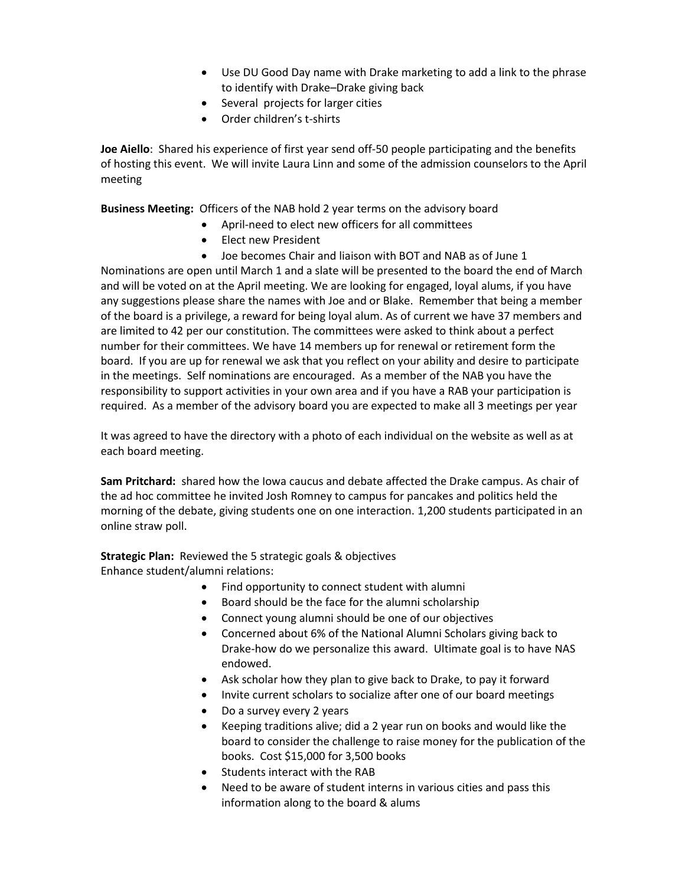- Use DU Good Day name with Drake marketing to add a link to the phrase to identify with Drake–Drake giving back
- Several projects for larger cities
- Order children's t-shirts

**Joe Aiello**: Shared his experience of first year send off-50 people participating and the benefits of hosting this event. We will invite Laura Linn and some of the admission counselors to the April meeting

**Business Meeting:** Officers of the NAB hold 2 year terms on the advisory board

- April-need to elect new officers for all committees
- Elect new President
- Joe becomes Chair and liaison with BOT and NAB as of June 1

Nominations are open until March 1 and a slate will be presented to the board the end of March and will be voted on at the April meeting. We are looking for engaged, loyal alums, if you have any suggestions please share the names with Joe and or Blake. Remember that being a member of the board is a privilege, a reward for being loyal alum. As of current we have 37 members and are limited to 42 per our constitution. The committees were asked to think about a perfect number for their committees. We have 14 members up for renewal or retirement form the board. If you are up for renewal we ask that you reflect on your ability and desire to participate in the meetings. Self nominations are encouraged. As a member of the NAB you have the responsibility to support activities in your own area and if you have a RAB your participation is required. As a member of the advisory board you are expected to make all 3 meetings per year

It was agreed to have the directory with a photo of each individual on the website as well as at each board meeting.

**Sam Pritchard:** shared how the Iowa caucus and debate affected the Drake campus. As chair of the ad hoc committee he invited Josh Romney to campus for pancakes and politics held the morning of the debate, giving students one on one interaction. 1,200 students participated in an online straw poll.

**Strategic Plan:** Reviewed the 5 strategic goals & objectives Enhance student/alumni relations:

- Find opportunity to connect student with alumni
- Board should be the face for the alumni scholarship
- Connect young alumni should be one of our objectives
- Concerned about 6% of the National Alumni Scholars giving back to Drake-how do we personalize this award. Ultimate goal is to have NAS endowed.
- Ask scholar how they plan to give back to Drake, to pay it forward
- Invite current scholars to socialize after one of our board meetings
- Do a survey every 2 years
- Keeping traditions alive; did a 2 year run on books and would like the board to consider the challenge to raise money for the publication of the books. Cost \$15,000 for 3,500 books
- Students interact with the RAB
- Need to be aware of student interns in various cities and pass this information along to the board & alums